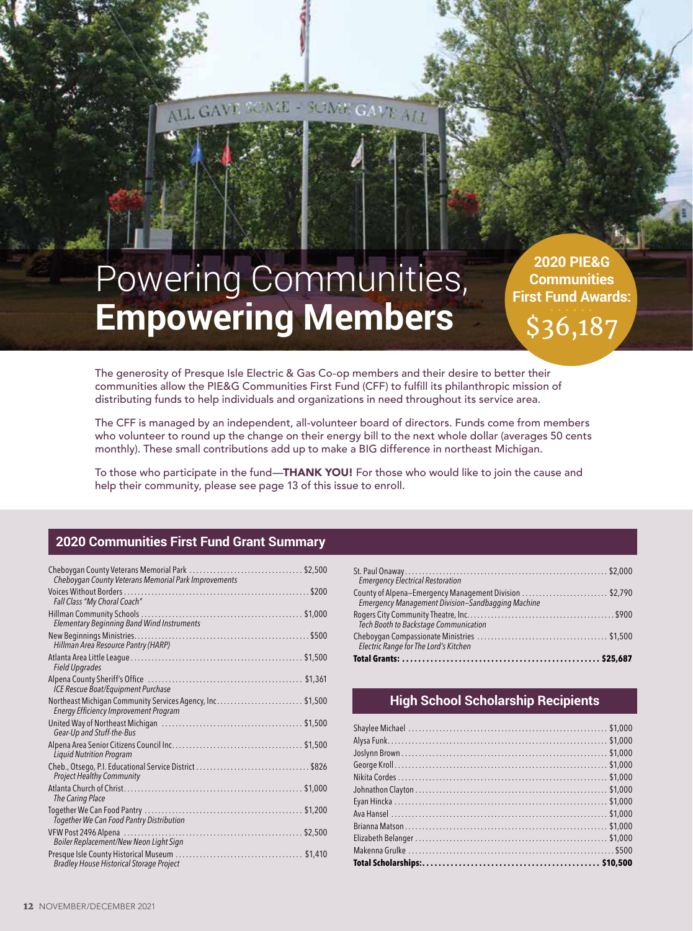# Powering Communities, **Empowering Members**

LL GAVE SOATE

**2020 PIE&G Communities First Fund Awards:** 

\$36,187

The generosity of Presque Isle Electric & Gas Co-op members and their desire to better their communities allow the PIE&G Communities First Fund (CFF) to fulfill its philanthropic mission of distributing funds to help individuals and organizations in need throughout its service area.

The CFF is managed by an independent, all-volunteer board of directors. Funds come from members who volunteer to round up the change on their energy bill to the next whole dollar (averages 50 cents monthly). These small contributions add up to make a BIG difference in northeast Michigan.

**SOME GAVE** 

To those who participate in the fund—THANK YOU! For those who would like to join the cause and help their community, please see page 13 of this issue to enroll.

#### **2020 Communities First Fund Grant Summary**

| Cheboygan County Veterans Memorial Park \$2,500<br>Cheboygan County Veterans Memorial Park Improvements |  |
|---------------------------------------------------------------------------------------------------------|--|
| Voices Without Borders<br>Fall Class "My Choral Coach"                                                  |  |
| <b>Elementary Beginning Band Wind Instruments</b>                                                       |  |
| New Beginnings Ministries<br>Hillman Area Resource Pantry (HARP)                                        |  |
| <b>Field Upgrades</b>                                                                                   |  |
| ICE Rescue Boat/Equipment Purchase                                                                      |  |
| <b>Energy Efficiency Improvement Program</b>                                                            |  |
| Gear-Up and Stuff-the-Bus                                                                               |  |
| <b>Liquid Nutrition Program</b>                                                                         |  |
| <b>Project Healthy Community</b>                                                                        |  |
| <b>The Caring Place</b>                                                                                 |  |
| Together We Can Food Pantry Distribution                                                                |  |
| Boiler Replacement/New Neon Light Sign                                                                  |  |
| <b>Bradley House Historical Storage Project</b>                                                         |  |

| <b>Emergency Electrical Restoration</b>                  |  |
|----------------------------------------------------------|--|
| <b>Emergency Management Division-Sandbagging Machine</b> |  |
| Tech Booth to Backstage Communication                    |  |
|                                                          |  |
|                                                          |  |

#### **High School Scholarship Recipients**